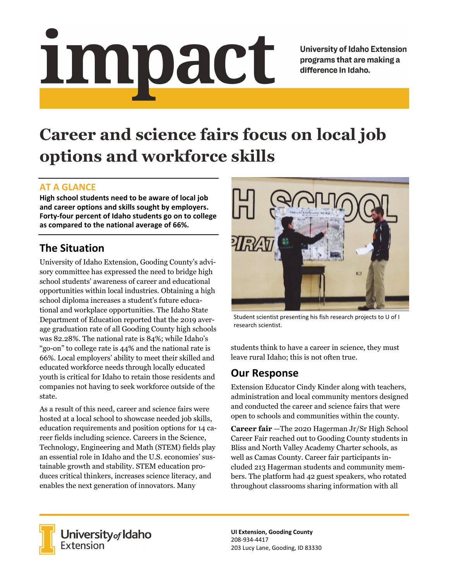# Impact

**University of Idaho Extension** programs that are making a difference in Idaho.

# **Career and science fairs focus on local job options and workforce skills**

### **AT A GLANCE**

**High school students need to be aware of local job and career options and skills sought by employers. Forty‐four percent of Idaho students go on to college as compared to the national average of 66%.**

# **The Situation**

University of Idaho Extension, Gooding County's advisory committee has expressed the need to bridge high school students' awareness of career and educational opportunities within local industries. Obtaining a high school diploma increases a student's future educational and workplace opportunities. The Idaho State Department of Education reported that the 2019 average graduation rate of all Gooding County high schools was 82.28%. The national rate is 84%; while Idaho's "go-on" to college rate is 44% and the national rate is 66%. Local employers' ability to meet their skilled and educated workforce needs through locally educated youth is critical for Idaho to retain those residents and companies not having to seek workforce outside of the state.

As a result of this need, career and science fairs were hosted at a local school to showcase needed job skills, education requirements and position options for 14 career fields including science. Careers in the Science, Technology, Engineering and Math (STEM) fields play an essential role in Idaho and the U.S. economies' sustainable growth and stability. STEM education produces critical thinkers, increases science literacy, and enables the next generation of innovators. Many



Student scientist presenting his fish research projects to U of I research scientist.

students think to have a career in science, they must leave rural Idaho; this is not often true.

### **Our Response**

Extension Educator Cindy Kinder along with teachers, administration and local community mentors designed and conducted the career and science fairs that were open to schools and communities within the county.

**Career fair** —The 2020 Hagerman Jr/Sr High School Career Fair reached out to Gooding County students in Bliss and North Valley Academy Charter schools, as well as Camas County. Career fair participants included 213 Hagerman students and community members. The platform had 42 guest speakers, who rotated throughout classrooms sharing information with all



University of Idaho<br>Extension

**UI Extension, Gooding County** 208‐934‐4417 203 Lucy Lane, Gooding, ID 83330